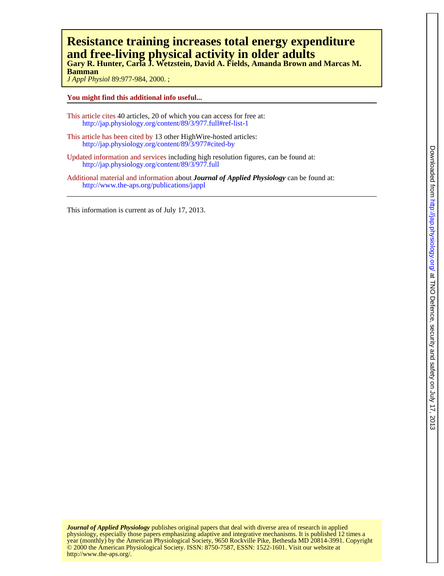# **and free-living physical activity in older adults Resistance training increases total energy expenditure**

**Bamman Gary R. Hunter, Carla J. Wetzstein, David A. Fields, Amanda Brown and Marcas M.**

*J Appl Physiol* 89:977-984, 2000. ;

## **You might find this additional info useful...**

- This article cites 40 articles, 20 of which you can access for free at: http://jap.physiology.org/content/89/3/977.full#ref-list-1
- This article has been cited by 13 other HighWire-hosted articles: <http://jap.physiology.org/content/89/3/977#cited-by>
- Updated information and services including high resolution figures, can be found at: http://jap.physiology.org/content/89/3/977.full
- Additional material and information about *Journal of Applied Physiology* can be found at: http://www.the-aps.org/publications/jappl

This information is current as of July 17, 2013.

http://www.the-aps.org/. © 2000 the American Physiological Society. ISSN: 8750-7587, ESSN: 1522-1601. Visit our website at year (monthly) by the American Physiological Society, 9650 Rockville Pike, Bethesda MD 20814-3991. Copyright physiology, especially those papers emphasizing adaptive and integrative mechanisms. It is published 12 times a *Journal of Applied Physiology* publishes original papers that deal with diverse area of research in applied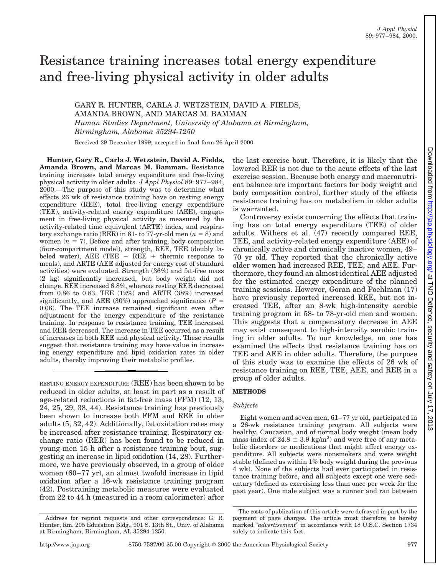# Resistance training increases total energy expenditure and free-living physical activity in older adults

GARY R. HUNTER, CARLA J. WETZSTEIN, DAVID A. FIELDS, AMANDA BROWN, AND MARCAS M. BAMMAN *Human Studies Department, University of Alabama at Birmingham, Birmingham, Alabama 35294-1250*

Received 29 December 1999; accepted in final form 26 April 2000

**Hunter, Gary R., Carla J. Wetzstein, David A. Fields, Amanda Brown, and Marcas M. Bamman.** Resistance training increases total energy expenditure and free-living physical activity in older adults. *J Appl Physiol* 89: 977–984, 2000.—The purpose of this study was to determine what effects 26 wk of resistance training have on resting energy expenditure (REE), total free-living energy expenditure (TEE), activity-related energy expenditure (AEE), engagement in free-living physical activity as measured by the activity-related time equivalent (ARTE) index, and respiratory exchange ratio (RER) in 61- to 77-yr-old men  $(n = 8)$  and women  $(n = 7)$ . Before and after training, body composition (four-compartment model), strength, REE, TEE (doubly labeled water), AEE (TEE  $-$  REE  $+$  thermic response to meals), and ARTE (AEE adjusted for energy cost of standard activities) were evaluated. Strength (36%) and fat-free mass (2 kg) significantly increased, but body weight did not change. REE increased 6.8%, whereas resting RER decreased from 0.86 to 0.83. TEE (12%) and ARTE (38%) increased significantly, and AEE (30%) approached significance ( $P =$ 0.06). The TEE increase remained significant even after adjustment for the energy expenditure of the resistance training. In response to resistance training, TEE increased and RER decreased. The increase in TEE occurred as a result of increases in both REE and physical activity. These results suggest that resistance training may have value in increasing energy expenditure and lipid oxidation rates in older adults, thereby improving their metabolic profiles.

RESTING ENERGY EXPENDITURE (REE) has been shown to be reduced in older adults, at least in part as a result of age-related reductions in fat-free mass (FFM) (12, 13, 24, 25, 29, 38, 44). Resistance training has previously been shown to increase both FFM and REE in older adults (5, 32, 42). Additionally, fat oxidation rates may be increased after resistance training. Respiratory exchange ratio (RER) has been found to be reduced in young men 15 h after a resistance training bout, suggesting an increase in lipid oxidation (14, 28). Furthermore, we have previously observed, in a group of older women (60–77 yr), an almost twofold increase in lipid oxidation after a 16-wk resistance training program (42). Posttraining metabolic measures were evaluated from 22 to 44 h (measured in a room calorimeter) after the last exercise bout. Therefore, it is likely that the lowered RER is not due to the acute effects of the last exercise session. Because both energy and macronutrient balance are important factors for body weight and body composition control, further study of the effects resistance training has on metabolism in older adults is warranted.

Controversy exists concerning the effects that training has on total energy expenditure (TEE) of older adults. Withers et al. (47) recently compared REE, TEE, and activity-related energy expenditure (AEE) of chronically active and chronically inactive women, 49– 70 yr old. They reported that the chronically active older women had increased REE, TEE, and AEE. Furthermore, they found an almost identical AEE adjusted for the estimated energy expenditure of the planned training sessions. However, Goran and Poehlman (17) have previously reported increased REE, but not increased TEE, after an 8-wk high-intensity aerobic training program in 58- to 78-yr-old men and women. This suggests that a compensatory decrease in AEE may exist consequent to high-intensity aerobic training in older adults. To our knowledge, no one has examined the effects that resistance training has on TEE and AEE in older adults. Therefore, the purpose of this study was to examine the effects of 26 wk of resistance training on REE, TEE, AEE, and RER in a group of older adults.

# **METHODS**

# *Subjects*

Eight women and seven men, 61–77 yr old, participated in a 26-wk resistance training program. All subjects were healthy, Caucasian, and of normal body weight (mean body mass index of  $24.8 \pm 3.9$  kg/m<sup>2</sup>) and were free of any metabolic disorders or medications that might affect energy expenditure. All subjects were nonsmokers and were weight stable (defined as within 1% body weight during the previous 4 wk). None of the subjects had ever participated in resistance training before, and all subjects except one were sedentary (defined as exercising less than once per week for the past year). One male subject was a runner and ran between

Address for reprint requests and other correspondence: G. R. Hunter, Rm. 205 Education Bldg., 901 S. 13th St., Univ. of Alabama at Birmingham, Birmingham, AL 35294-1250.

The costs of publication of this article were defrayed in part by the payment of page charges. The article must therefore be hereby marked "*advertisement*" in accordance with 18 U.S.C. Section 1734 solely to indicate this fact.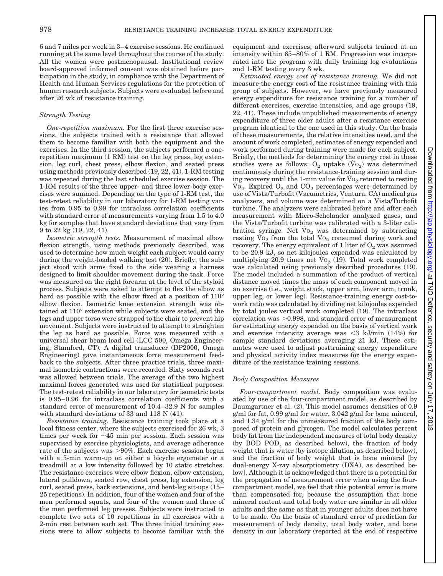6 and 7 miles per week in 3–4 exercise sessions. He continued running at the same level throughout the course of the study. All the women were postmenopausal. Institutional review board-approved informed consent was obtained before participation in the study, in compliance with the Department of Health and Human Services regulations for the protection of human research subjects. Subjects were evaluated before and after 26 wk of resistance training.

## *Strength Testing*

*One-repetition maximum.* For the first three exercise sessions, the subjects trained with a resistance that allowed them to become familiar with both the equipment and the exercises. In the third session, the subjects performed a onerepetition maximum (1 RM) test on the leg press, leg extension, leg curl, chest press, elbow flexion, and seated press using methods previously described (19, 22, 41). 1-RM testing was repeated during the last scheduled exercise session. The 1-RM results of the three upper- and three lower-body exercises were summed. Depending on the type of 1-RM test, the test-retest reliability in our laboratory for 1-RM testing varies from 0.95 to 0.99 for intraclass correlation coefficients with standard error of measurements varying from 1.5 to 4.0 kg for samples that have standard deviations that vary from 9 to 22 kg (19, 22, 41).

*Isometric strength tests.* Measurement of maximal elbow flexion strength, using methods previously described, was used to determine how much weight each subject would carry during the weight-loaded walking test (20). Briefly, the subject stood with arms fixed to the side wearing a harness designed to limit shoulder movement during the task. Force was measured on the right forearm at the level of the styloid process. Subjects were asked to attempt to flex the elbow as hard as possible with the elbow fixed at a position of 110° elbow flexion. Isometric knee extension strength was obtained at 110° extension while subjects were seated, and the legs and upper torso were strapped to the chair to prevent hip movement. Subjects were instructed to attempt to straighten the leg as hard as possible. Force was measured with a universal shear beam load cell (LCC 500, Omega Engineering, Stamford, CT). A digital transducer (DP2000, Omega Engineering) gave instantaneous force measurement feedback to the subjects. After three practice trials, three maximal isometric contractions were recorded. Sixty seconds rest was allowed between trials. The average of the two highest maximal forces generated was used for statistical purposes. The test-retest reliability in our laboratory for isometric tests is 0.95–0.96 for intraclass correlation coefficients with a standard error of measurement of 10.4–32.9 N for samples with standard deviations of 33 and 118 N (41).

*Resistance training.* Resistance training took place at a local fitness center, where the subjects exercised for 26 wk, 3 times per week for  $\sim$ 45 min per session. Each session was supervised by exercise physiologists, and average adherence rate of the subjects was  $>90\%$ . Each exercise session began with a 5-min warm-up on either a bicycle ergometer or a treadmill at a low intensity followed by 10 static stretches. The resistance exercises were elbow flexion, elbow extension, lateral pulldown, seated row, chest press, leg extension, leg curl, seated press, back extensions, and bent-leg sit-ups (15– 25 repetitions). In addition, four of the women and four of the men performed squats, and four of the women and three of the men performed leg presses. Subjects were instructed to complete two sets of 10 repetitions in all exercises with a 2-min rest between each set. The three initial training sessions were to allow subjects to become familiar with the

equipment and exercises; afterward subjects trained at an intensity within 65–80% of 1 RM. Progression was incorporated into the program with daily training log evaluations and 1-RM testing every 3 wk.

*Estimated energy cost of resistance training.* We did not measure the energy cost of the resistance training with this group of subjects. However, we have previously measured energy expenditure for resistance training for a number of different exercises, exercise intensities, and age groups (19, 22, 41). These include unpublished measurements of energy expenditure of three older adults after a resistance exercise program identical to the one used in this study. On the basis of these measurements, the relative intensities used, and the amount of work completed, estimates of energy expended and work performed during training were made for each subject. Briefly, the methods for determining the energy cost in these studies were as follows:  $O_2$  uptake  $(VO_2)$  was determined continuously during the resistance-training session and during recovery until the 1-min value for  $Vo_2$  returned to resting  $\rm{Vo}_{2}$ . Expired  $\rm{O}_{2}$  and  $\rm{CO}_{2}$  percentages were determined by use of Vista/Turbofit (Vacumetrics, Ventura, CA) medical gas analyzers, and volume was determined on a Vista/Turbofit turbine. The analyzers were calibrated before and after each measurement with Micro-Scholander analyzed gases, and the Vista/Turbofit turbine was calibrated with a 3-liter calibration syringe. Net  $\dot{V}$ <sub>2</sub> was determined by subtracting resting  $\mathrm{Vo}_2$  from the total  $\mathrm{Vo}_2$  consumed during work and recovery. The energy equivalent of 1 liter of  $O<sub>2</sub>$  was assumed to be 20.9 kJ, so net kilojoules expended was calculated by multiplying 20.9 times net  $Vo<sub>2</sub>$  (19). Total work completed was calculated using previously described procedures (19). The model included a summation of the product of vertical distance moved times the mass of each component moved in an exercise (i.e., weight stack, upper arm, lower arm, trunk, upper leg, or lower leg). Resistance-training energy cost-towork ratio was calculated by dividing net kilojoules expended by total joules vertical work completed (19). The intraclass correlation was  $>0.998$ , and standard error of measurement for estimating energy expended on the basis of vertical work and exercise intensity average was  $\leq$ 3 kJ/min (14%) for sample standard deviations averaging 21 kJ. These estimates were used to adjust posttraining energy expenditure and physical activity index measures for the energy expenditure of the resistance training sessions.

#### *Body Composition Measures*

*Four-compartment model.* Body composition was evaluated by use of the four-compartment model, as described by Baumgartner et al. (2). This model assumes densities of 0.9 g/ml for fat, 0.99 g/ml for water, 3.042 g/ml for bone mineral, and 1.34 g/ml for the unmeasured fraction of the body composed of protein and glycogen. The model calculates percent body fat from the independent measures of total body density (by BOD POD, as described below), the fraction of body weight that is water (by isotope dilution, as described below), and the fraction of body weight that is bone mineral [by dual-energy X-ray absorptiometry (DXA), as described below]. Although it is acknowledged that there is a potential for the propagation of measurement error when using the fourcompartment model, we feel that this potential error is more than compensated for, because the assumption that bone mineral content and total body water are similar in all older adults and the same as that in younger adults does not have to be made. On the basis of standard error of prediction for measurement of body density, total body water, and bone density in our laboratory (reported at the end of respective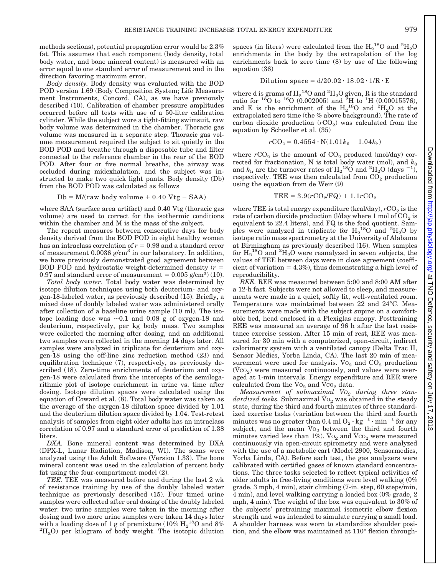methods sections), potential propagation error would be 2.3% fat. This assumes that each component (body density, total body water, and bone mineral content) is measured with an error equal to one standard error of measurement and in the direction favoring maximum error.

*Body density.* Body density was evaluated with the BOD POD version 1.69 (Body Composition System; Life Measurement Instruments, Concord, CA), as we have previously described (10). Calibration of chamber pressure amplitudes occurred before all tests with use of a 50-liter calibration cylinder. While the subject wore a tight-fitting swimsuit, raw body volume was determined in the chamber. Thoracic gas volume was measured in a separate step. Thoracic gas volume measurement required the subject to sit quietly in the BOD POD and breathe through a disposable tube and filter connected to the reference chamber in the rear of the BOD POD. After four or five normal breaths, the airway was occluded during midexhalation, and the subject was instructed to make two quick light pants. Body density (Db) from the BOD POD was calculated as follows

$$
Db = M/(raw body volume + 0.40 Vtg - SAA)
$$

where SAA (surface area artifact) and 0.40 Vtg (thoracic gas volume) are used to correct for the isothermic conditions within the chamber and M is the mass of the subject.

The repeat measures between consecutive days for body density derived from the BOD POD in eight healthy women has an intraclass correlation of  $r = 0.98$  and a standard error of measurement  $0.0036$  g/cm<sup>3</sup> in our laboratory. In addition, we have previously demonstrated good agreement between BOD POD and hydrostatic weight-determined density  $(r =$ 0.97 and standard error of measurement =  $0.005$  g/cm<sup>3</sup>) (10).

*Total body water.* Total body water was determined by isotope dilution techniques using both deuterium- and oxygen-18-labeled water, as previously described (15). Briefly, a mixed dose of doubly labeled water was administered orally after collection of a baseline urine sample (10 ml). The isotope loading dose was  $\sim 0.1$  and 0.08 g of oxygen-18 and deuterium, respectively, per kg body mass. Two samples were collected the morning after dosing, and an additional two samples were collected in the morning 14 days later. All samples were analyzed in triplicate for deuterium and oxygen-18 using the off-line zinc reduction method (23) and equilibration technique (7), respectively, as previously described (18). Zero-time enrichments of deuterium and oxygen-18 were calculated from the intercepts of the semilogarithmic plot of isotope enrichment in urine vs. time after dosing. Isotope dilution spaces were calculated using the equation of Coward et al. (8). Total body water was taken as the average of the oxygen-18 dilution space divided by 1.01 and the deuterium dilution space divided by 1.04. Test-retest analysis of samples from eight older adults has an intraclass correlation of 0.97 and a standard error of prediction of 1.38 liters.

*DXA.* Bone mineral content was determined by DXA (DPX-L, Lunar Radiation, Madison, WI). The scans were analyzed using the Adult Software (Version 1.33). The bone mineral content was used in the calculation of percent body fat using the four-compartment model (2).

*TEE.* TEE was measured before and during the last 2 wk of resistance training by use of the doubly labeled water technique as previously described (15). Four timed urine samples were collected after oral dosing of the doubly labeled water: two urine samples were taken in the morning after dosing and two more urine samples were taken 14 days later with a loading dose of 1 g of premixture  $(10\% \text{ H}_2{}^{18}\text{O})$  and  $8\%$ <br><sup>2</sup>H O) per kilogram of body weight. The isotopic dilution  ${}^{2}H_{2}O$ ) per kilogram of body weight. The isotopic dilution

spaces (in liters) were calculated from the  $\rm H_2^{18}O$  and  $^2\rm H_2O$ enrichments in the body by the extrapolation of the log enrichments back to zero time (8) by use of the following equation (36)

Dilution space = 
$$
d/20.02 \cdot 18.02 \cdot 1/R \cdot E
$$

where d is grams of  $\rm H_2^{\text{-}18O}$  and  $\rm ^2H_2O$  given, R is the standard ratio for <sup>18</sup>O to <sup>16</sup>O (0.002005) and <sup>2</sup>H to <sup>1</sup>H (0.00015576), and E is the enrichment of the  $H_2^{18}O$  and  $^{2}H_2O$  at the extrapolated zero time (the % above background). The rate of carbon dioxide production  $(rCO<sub>2</sub>)$  was calculated from the equation by Schoeller et al. (35)

$$
r\text{CO}_2 = 0.4554 \cdot \text{N} (1.01k_0 - 1.04k_\text{h})
$$

where  $rCO_2$  is the amount of  $CO_2$  produced (mol/day) corrected for fractionation, N is total body water (mol), and  $k_0$ and  $k_h$  are the turnover rates of  $H_2{}^{18}O$  and  ${}^2H_2O$  (days  ${}^{-1}$ ), respectively. TEE was then calculated from  $CO<sub>2</sub>$  production using the equation from de Weir (9)

$$
TEE = 3.9(r\text{CO}_2/\text{FQ}) + 1.1r\text{CO}_2
$$

where TEE is total energy expenditure (kcal/day),  $rCO<sub>2</sub>$  is the rate of carbon dioxide production ( $1$ /day where 1 mol of  $CO<sub>2</sub>$  is equivalent to 22.4 liters), and FQ is the food quotient. Samples were analyzed in triplicate for  $\rm H_2^{\ 18}O$  and  $\rm ^2H_2O$  by isotope ratio mass spectrometry at the University of Alabama at Birmingham as previously described (16). When samples for  $H_2$ <sup>18</sup>O and <sup>2</sup> $H_2$ O were reanalyzed in seven subjects, the values of TEE between days were in close agreement (coefficient of variation  $= 4.3\%$ ), thus demonstrating a high level of reproducibility.

*REE.* REE was measured between 5:00 and 8:00 AM after a 12-h fast. Subjects were not allowed to sleep, and measurements were made in a quiet, softly lit, well-ventilated room. Temperature was maintained between 22 and 24°C. Measurements were made with the subject supine on a comfortable bed, head enclosed in a Plexiglas canopy. Posttraining REE was measured an average of 96 h after the last resistance exercise session. After 15 min of rest, REE was measured for 30 min with a computerized, open-circuit, indirect calorimetry system with a ventilated canopy (Delta Trac II, Sensor Medics, Yorba Linda, CA). The last 20 min of measurement were used for analysis.  $\mathrm{Vo}_2$  and  $\mathrm{CO}_2$  production  $(VCO<sub>2</sub>)$  were measured continuously, and values were averaged at 1-min intervals. Energy expenditure and RER were calculated from the  $\dot{V}$ O<sub>2</sub> and  $\dot{V}$ CO<sub>2</sub> data.

*Measurement of submaximal*  $\dot{V}o_2$  *during three standardized tasks.* Submaximal V<sub>0</sub>, was obtained in the steady state, during the third and fourth minutes of three standardized exercise tasks (variation between the third and fourth minutes was no greater than  $0.4$  ml  $O_2 \cdot \text{kg}^{-1} \cdot \text{min}^{-1}$  for any subject, and the mean  $Vo_2$  between the third and fourth minutes varied less than  $1\%$ ). V<sub>O<sub>2</sub></sub> and V<sub>CO<sub>2</sub> were measured</sub> continuously via open-circuit spirometry and were analyzed with the use of a metabolic cart (Model 2900, Sensormedics, Yorba Linda, CA). Before each test, the gas analyzers were calibrated with certified gases of known standard concentrations. The three tasks selected to reflect typical activities of older adults in free-living conditions were level walking (0% grade, 3 mph, 4 min), stair climbing (7-in. step, 60 steps/min, 4 min), and level walking carrying a loaded box (0% grade, 2 mph, 4 min). The weight of the box was equivalent to 30% of the subjects' pretraining maximal isometric elbow flexion strength and was intended to simulate carrying a small load. A shoulder harness was worn to standardize shoulder position, and the elbow was maintained at 110° flexion through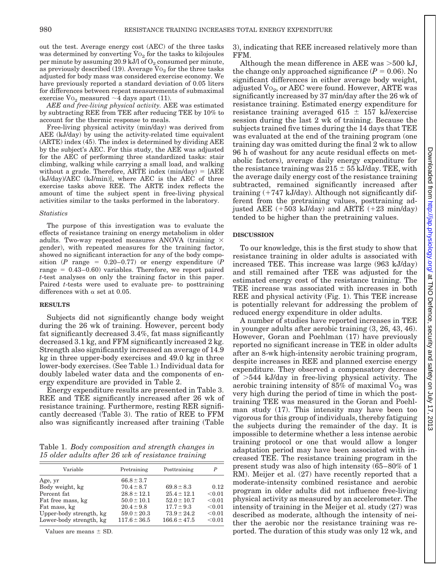out the test. Average energy cost (AEC) of the three tasks was determined by converting  $\mathrm{Vo}_2$  for the tasks to kilojoules per minute by assuming 20.9 kJ/l of  $O_2$  consumed per minute, as previously described (19). Average  $Vo_2$  for the three tasks adjusted for body mass was considered exercise economy. We have previously reported a standard deviation of 0.05 liters for differences between repeat measurements of submaximal exercise  $\dot{V}$ O<sub>2</sub> measured  $\sim$ 4 days apart (11).

*AEE and free-living physical activity.* AEE was estimated by subtracting REE from TEE after reducing TEE by 10% to account for the thermic response to meals.

Free-living physical activity (min/day) was derived from AEE (kJ/day) by using the activity-related time equivalent (ARTE) index (45). The index is determined by dividing AEE by the subject's AEC. For this study, the AEE was adjusted for the AEC of performing three standardized tasks: stair climbing, walking while carrying a small load, and walking without a grade. Therefore, ARTE index  $(min/day) = [AEE]$ (kJ/day)/AEC (kJ/min)], where AEC is the AEC of three exercise tasks above REE. The ARTE index reflects the amount of time the subject spent in free-living physical activities similar to the tasks performed in the laboratory.

#### *Statistics*

The purpose of this investigation was to evaluate the effects of resistance training on energy metabolism in older adults. Two-way repeated measures ANOVA (training  $\times$ gender), with repeated measures for the training factor, showed no significant interaction for any of the body composition ( $P$  range =  $0.20-0.77$ ) or energy expenditure ( $P$ range  $= 0.43-0.60$ ) variables. Therefore, we report paired *t*-test analyses on only the training factor in this paper. Paired *t*-tests were used to evaluate pre- to posttraining differences with  $\alpha$  set at 0.05.

### **RESULTS**

Subjects did not significantly change body weight during the 26 wk of training. However, percent body fat significantly decreased 3.4%, fat mass significantly decreased 3.1 kg, and FFM significantly increased 2 kg. Strength also significantly increased an average of 14.9 kg in three upper-body exercises and 49.0 kg in three lower-body exercises. (See Table 1.) Individual data for doubly labeled water data and the components of energy expenditure are provided in Table 2.

Energy expenditure results are presented in Table 3. REE and TEE significantly increased after 26 wk of resistance training. Furthermore, resting RER significantly decreased (Table 3). The ratio of REE to FFM also was significantly increased after training (Table

Table 1. *Body composition and strength changes in 15 older adults after 26 wk of resistance training*

| Variable                | Pretraining      | Posttraining     | P      |  |
|-------------------------|------------------|------------------|--------|--|
| Age, yr                 | $66.8 \pm 3.7$   |                  |        |  |
| Body weight, kg         | $70.4 \pm 8.7$   | $69.8 \pm 8.3$   | 0.12   |  |
| Percent fat             | $28.8 \pm 12.1$  | $25.4 \pm 12.1$  | < 0.01 |  |
| Fat free mass, kg       | $50.0 \pm 10.1$  | $52.0 \pm 10.7$  | < 0.01 |  |
| Fat mass, kg            | $20.4 \pm 9.8$   | $17.7 \pm 9.3$   | < 0.01 |  |
| Upper-body strength, kg | $59.0 \pm 20.3$  | $73.9 \pm 24.2$  | < 0.01 |  |
| Lower-body strength, kg | $117.6 \pm 36.5$ | $166.6 \pm 47.5$ | < 0.01 |  |

Values are means  $\pm$  SD.

3), indicating that REE increased relatively more than FFM.

Although the mean difference in AEE was  $>500$  kJ, the change only approached significance  $(P = 0.06)$ . No significant differences in either average body weight, adjusted  $Vo_2$ , or AEC were found. However, ARTE was significantly increased by 37 min/day after the 26 wk of resistance training. Estimated energy expenditure for resistance training averaged 615  $\pm$  157 kJ/exercise session during the last 2 wk of training. Because the subjects trained five times during the 14 days that TEE was evaluated at the end of the training program (one training day was omitted during the final 2 wk to allow 96 h of washout for any acute residual effects on metabolic factors), average daily energy expenditure for the resistance training was  $215 \pm 55$  kJ/day. TEE, with the average daily energy cost of the resistance training subtracted, remained significantly increased after training  $(+747 \text{ kJ/day})$ . Although not significantly different from the pretraining values, posttraining adjusted AEE  $(+503 \text{ kJ/day})$  and ARTE  $(+23 \text{ min/day})$ tended to be higher than the pretraining values.

#### **DISCUSSION**

To our knowledge, this is the first study to show that resistance training in older adults is associated with increased TEE. This increase was large (963 kJ/day) and still remained after TEE was adjusted for the estimated energy cost of the resistance training. The TEE increase was associated with increases in both REE and physical activity (Fig. 1). This TEE increase is potentially relevant for addressing the problem of reduced energy expenditure in older adults.

A number of studies have reported increases in TEE in younger adults after aerobic training (3, 26, 43, 46). However, Goran and Poehlman (17) have previously reported no significant increase in TEE in older adults after an 8-wk high-intensity aerobic training program, despite increases in REE and planned exercise energy expenditure. They observed a compensatory decrease of  $>544$  kJ/day in free-living physical activity. The aerobic training intensity of 85% of maximal  $Vo_2$  was very high during the period of time in which the posttraining TEE was measured in the Goran and Poehlman study (17). This intensity may have been too vigorous for this group of individuals, thereby fatiguing the subjects during the remainder of the day. It is impossible to determine whether a less intense aerobic training protocol or one that would allow a longer adaptation period may have been associated with increased TEE. The resistance training program in the present study was also of high intensity (65–80% of 1 RM). Meijer et al. (27) have recently reported that a moderate-intensity combined resistance and aerobic program in older adults did not influence free-living physical activity as measured by an accelerometer. The intensity of training in the Meijer et al. study (27) was described as moderate, although the intensity of neither the aerobic nor the resistance training was reported. The duration of this study was only 12 wk, and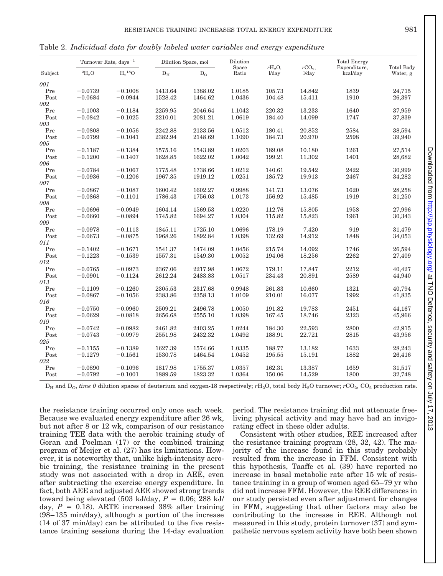| Subject     | Turnover Rate, $days^{-1}$ |               | Dilution Space, mol |         | Dilution       |                    |                           | <b>Total Energy</b>      |                               |
|-------------|----------------------------|---------------|---------------------|---------|----------------|--------------------|---------------------------|--------------------------|-------------------------------|
|             | $^2\mathrm{H}_2\mathrm{O}$ | $H_2{}^{18}O$ | $D_{H}$             | $D_{O}$ | Space<br>Ratio | $rH_2O$ ,<br>1/day | rCO <sub>2</sub><br>l/day | Expenditure,<br>kcal/day | <b>Total Body</b><br>Water, g |
| 001         |                            |               |                     |         |                |                    |                           |                          |                               |
| Pre         | $-0.0739$                  | $-0.1008$     | 1413.64             | 1388.02 | 1.0185         | 105.73             | 14.842                    | 1839                     | 24,715                        |
| Post        | $-0.0684$                  | $-0.0944$     | 1528.42             | 1464.62 | 1.0436         | 104.48             | 15.411                    | 1910                     | 26,397                        |
| 002         |                            |               |                     |         |                |                    |                           |                          |                               |
| Pre         | $-0.1003$                  | $-0.1184$     | 2259.95             | 2046.64 | 1.1042         | 220.32             | 13.233                    | 1640                     | 37,959                        |
| Post        | $-0.0842$                  | $-0.1025$     | 2210.01             | 2081.21 | 1.0619         | 184.40             | 14.099                    | 1747                     | 37,839                        |
| 003         |                            |               |                     |         |                |                    |                           |                          |                               |
| Pre         | $-0.0808$                  | $-0.1056$     | 2242.88             | 2133.56 | 1.0512         | 180.41             | 20.852                    | 2584                     | 38,594                        |
| Post        | $-0.0799$                  | $-0.1041$     | 2382.94             | 2148.69 | 1.1090         | 184.73             | 20.970                    | 2598                     | 39,940                        |
| 005         |                            |               |                     |         |                |                    |                           |                          |                               |
| Pre         | $-0.1187$                  | $-0.1384$     | 1575.16             | 1543.89 | 1.0203         | 189.08             | 10.180                    | 1261                     | 27,514                        |
| Post<br>006 | $-0.1200$                  | $-0.1407$     | 1628.85             | 1622.02 | 1.0042         | 199.21             | 11.302                    | 1401                     | 28,682                        |
| Pre         | $-0.0784$                  | $-0.1067$     | 1775.48             | 1738.66 | 1.0212         | 140.61             | 19.542                    | 2422                     | 30,999                        |
| Post        | $-0.0936$                  | $-0.1206$     | 1967.35             | 1919.12 | 1.0251         | 185.72             | 19.913                    | 2467                     | 34,282                        |
| 007         |                            |               |                     |         |                |                    |                           |                          |                               |
| Pre         | $-0.0867$                  | $-0.1087$     | 1600.42             | 1602.27 | 0.9988         | 141.73             | 13.076                    | 1620                     | 28,258                        |
| Post        | $-0.0868$                  | $-0.1101$     | 1786.43             | 1756.03 | 1.0173         | 156.92             | 15.485                    | 1919                     | 31,250                        |
| 008         |                            |               |                     |         |                |                    |                           |                          |                               |
| Pre         | $-0.0696$                  | $-0.0949$     | 1604.14             | 1569.53 | 1.0220         | 112.76             | 15.805                    | 1958                     | 27,996                        |
| Post        | $-0.0660$                  | $-0.0894$     | 1745.82             | 1694.27 | 1.0304         | 115.82             | 15.823                    | 1961                     | 30,343                        |
| 009         |                            |               |                     |         |                |                    |                           |                          |                               |
| Pre         | $-0.0978$                  | $-0.1113$     | 1845.11             | 1725.10 | 1.0696         | 178.19             | 7.420                     | 919                      | 31,479                        |
| Post        | $-0.0673$                  | $-0.0875$     | 1968.26             | 1892.84 | 1.0398         | 132.69             | 14.912                    | 1848                     | 34,053                        |
| 011         |                            |               |                     |         |                |                    |                           |                          |                               |
| Pre         | $-0.1402$                  | $-0.1671$     | 1541.37             | 1474.09 | 1.0456         | 215.74             | 14.092                    | 1746                     | 26,594                        |
| Post        | $-0.1223$                  | $-0.1539$     | 1557.31             | 1549.30 | 1.0052         | 194.06             | 18.256                    | 2262                     | 27,409                        |
| 012         |                            |               |                     |         |                |                    |                           |                          |                               |
| Pre         | $-0.0765$                  | $-0.0973$     | 2367.06             | 2217.98 | 1.0672         | 179.11             | 17.847                    | 2212                     | 40,427                        |
| Post        | $-0.0901$                  | $-0.1124$     | 2612.24             | 2483.83 | 1.0517         | 234.43             | 20.891                    | 2589                     | 44,940                        |
| 013         |                            |               |                     |         |                |                    |                           |                          |                               |
| Pre         | $-0.1109$                  | $-0.1260$     | 2305.53             | 2317.68 | 0.9948         | 261.83             | 10.660                    | 1321                     | 40,794                        |
| Post        | $-0.0867$                  | $-0.1056$     | 2383.86             | 2358.13 | 1.0109         | 210.01             | 16.077                    | 1992                     | 41,835                        |
| 016         |                            |               |                     |         |                |                    |                           |                          |                               |
| Pre         | $-0.0750$                  | $-0.0960$     | 2509.21             | 2496.78 | 1.0050         | 191.82             | 19.783                    | 2451                     | 44,167                        |
| Post        | $-0.0629$                  | $-0.0818$     | 2656.68             | 2555.10 | 1.0398         | 167.45             | 18.746                    | 2323                     | 45,966                        |
| 019         |                            |               |                     |         |                |                    |                           |                          |                               |
| Pre         | $-0.0742$                  | $-0.0982$     | 2461.82             | 2403.25 | 1.0244         | 184.30             | 22.593                    | 2800                     | 42,915                        |
| Post<br>025 | $-0.0743$                  | $-0.0979$     | 2551.98             | 2432.32 | 1.0492         | 188.91             | 22.721                    | 2815                     | 43,956                        |
| Pre         | $-0.1155$                  | $-0.1389$     | 1627.39             | 1574.66 | 1.0335         | 188.77             | 13.182                    | 1633                     | 28,243                        |
| Post        | $-0.1279$                  | $-0.1561$     | 1530.78             | 1464.54 | 1.0452         | 195.55             | 15.191                    | 1882                     | 26,416                        |
| 032         |                            |               |                     |         |                |                    |                           |                          |                               |
| Pre         | $-0.0890$                  | $-0.1096$     | 1817.98             | 1755.37 | 1.0357         | 162.31             | 13.387                    | 1659                     | 31,517                        |
| Post        | $-0.0792$                  | $-0.1001$     | 1889.59             | 1823.32 | 1.0364         | 150.06             | 14.529                    | 1800                     | 32,748                        |

Table 2. *Individual data for doubly labeled water variables and energy expenditure*

 $D_H$  and  $D_O$ , *time 0* dilution spaces of deuterium and oxygen-18 respectively;  $rH_2O$ , total body  $H_2O$  turnover;  $rCO_2$ ,  $CO_2$  production rate.

the resistance training occurred only once each week. Because we evaluated energy expenditure after 26 wk, but not after 8 or 12 wk, comparison of our resistance training TEE data with the aerobic training study of Goran and Poelman (17) or the combined training program of Meijer et al. (27) has its limitations. However, it is noteworthy that, unlike high-intensity aerobic training, the resistance training in the present study was not associated with a drop in AEE, even after subtracting the exercise energy expenditure. In fact, both AEE and adjusted AEE showed strong trends toward being elevated (503 kJ/day,  $P = 0.06$ ; 288 kJ/ day,  $P = 0.18$ ). ARTE increased 38% after training (98–135 min/day), although a portion of the increase (14 of 37 min/day) can be attributed to the five resistance training sessions during the 14-day evaluation

period. The resistance training did not attenuate freeliving physical activity and may have had an invigorating effect in these older adults.

Consistent with other studies, REE increased after the resistance training program (28, 32, 42). The majority of the increase found in this study probably resulted from the increase in FFM. Consistent with this hypothesis, Taaffe et al. (39) have reported no increase in basal metabolic rate after 15 wk of resistance training in a group of women aged 65–79 yr who did not increase FFM. However, the REE differences in our study persisted even after adjustment for changes in FFM, suggesting that other factors may also be contributing to the increase in REE. Although not measured in this study, protein turnover (37) and sympathetic nervous system activity have both been shown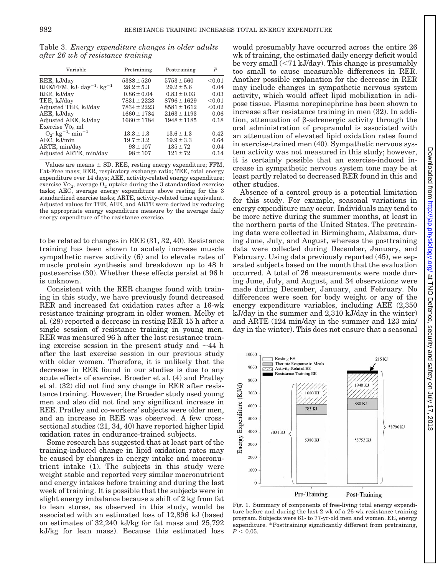| Pretraining     | Posttraining    | P      |  |
|-----------------|-----------------|--------|--|
| $5388 \pm 520$  | $5753 \pm 560$  | < 0.01 |  |
| $28.2 \pm 5.3$  | $29.2 \pm 5.6$  | 0.04   |  |
| $0.86 \pm 0.04$ | $0.83 \pm 0.03$ | 0.03   |  |
| $7831 \pm 2223$ | $8796 \pm 1629$ | < 0.01 |  |
| $7834 \pm 2223$ | $8581 \pm 1612$ | < 0.02 |  |
| $1660 \pm 1784$ | $2163 \pm 1193$ | 0.06   |  |
| $1660 \pm 1784$ | $1948 \pm 1185$ | 0.18   |  |
|                 |                 |        |  |
| $13.3 \pm 1.3$  | $13.6 \pm 1.3$  | 0.42   |  |
| $19.7 \pm 3.2$  | $19.9 \pm 3.3$  | 0.64   |  |
| $98 \pm 107$    | $135 \pm 72$    | 0.04   |  |
| $98 \pm 107$    | $121 \pm 72$    | 0.14   |  |
|                 |                 |        |  |

Table 3. *Energy expenditure changes in older adults after 26 wk of resistance training*

Values are means  $\pm$  SD. REE, resting energy expenditure; FFM, Fat-Free mass; RER, respiratory exchange ratio; TEE, total energy expenditure over 14 days; AEE, activity-related energy expenditure; exercise  $\mathrm{Vo}_2$ , average  $\mathrm{O}_2$  uptake during the 3 standardized exercise tasks; AEC, average energy expenditure above resting for the 3 standardized exercise tasks; ARTE, activity-related time equivalent. Adjusted values for TEE, AEE, and ARTE were derived by reducing the appropriate energy expenditure measure by the average daily energy expenditure of the resistance exercise.

to be related to changes in REE (31, 32, 40). Resistance training has been shown to acutely increase muscle sympathetic nerve activity (6) and to elevate rates of muscle protein synthesis and breakdown up to 48 h postexercise (30). Whether these effects persist at 96 h is unknown.

Consistent with the RER changes found with training in this study, we have previously found decreased RER and increased fat oxidation rates after a 16-wk resistance training program in older women. Melby et al. (28) reported a decrease in resting RER 15 h after a single session of resistance training in young men. RER was measured 96 h after the last resistance training exercise session in the present study and  $\sim$ 44 h after the last exercise session in our previous study with older women. Therefore, it is unlikely that the decrease in RER found in our studies is due to any acute effects of exercise. Broeder et al. (4) and Pratley et al. (32) did not find any change in RER after resistance training. However, the Broeder study used young men and also did not find any significant increase in REE. Pratley and co-workers' subjects were older men, and an increase in REE was observed. A few crosssectional studies (21, 34, 40) have reported higher lipid oxidation rates in endurance-trained subjects.

Some research has suggested that at least part of the training-induced change in lipid oxidation rates may be caused by changes in energy intake and macronutrient intake (1). The subjects in this study were weight stable and reported very similar macronutrient and energy intakes before training and during the last week of training. It is possible that the subjects were in slight energy imbalance because a shift of 2 kg from fat to lean stores, as observed in this study, would be associated with an estimated loss of 12,896 kJ (based on estimates of 32,240 kJ/kg for fat mass and 25,792 kJ/kg for lean mass). Because this estimated loss

would presumably have occurred across the entire 26 wk of training, the estimated daily energy deficit would be very small  $\langle \langle 71 \text{ kJ/day} \rangle$ . This change is presumably too small to cause measurable differences in RER. Another possible explanation for the decrease in RER may include changes in sympathetic nervous system activity, which would affect lipid mobilization in adipose tissue. Plasma norepinephrine has been shown to increase after resistance training in men (32). In addition, attenuation of  $\beta$ -adrenergic activity through the oral administration of propranolol is associated with an attenuation of elevated lipid oxidation rates found in exercise-trained men (40). Sympathetic nervous system activity was not measured in this study; however, it is certainly possible that an exercise-induced increase in sympathetic nervous system tone may be at least partly related to decreased RER found in this and other studies.

Absence of a control group is a potential limitation for this study. For example, seasonal variations in energy expenditure may occur. Individuals may tend to be more active during the summer months, at least in the northern parts of the United States. The pretraining data were collected in Birmingham, Alabama, during June, July, and August, whereas the posttraining data were collected during December, January, and February. Using data previously reported (45), we separated subjects based on the month that the evaluation occurred. A total of 26 measurements were made during June, July, and August, and 34 observations were made during December, January, and February. No differences were seen for body weight or any of the energy expenditure variables, including AEE (2,350 kJ/day in the summer and 2,310 kJ/day in the winter) and ARTE (124 min/day in the summer and 123 min/ day in the winter). This does not ensure that a seasonal



Fig. 1. Summary of components of free-living total energy expenditure before and during the last 2 wk of a 26-wk resistance training program. Subjects were 61- to 77-yr-old men and women. EE, energy expenditure. \*Posttraining significantly different from pretraining,  $P < 0.05$ .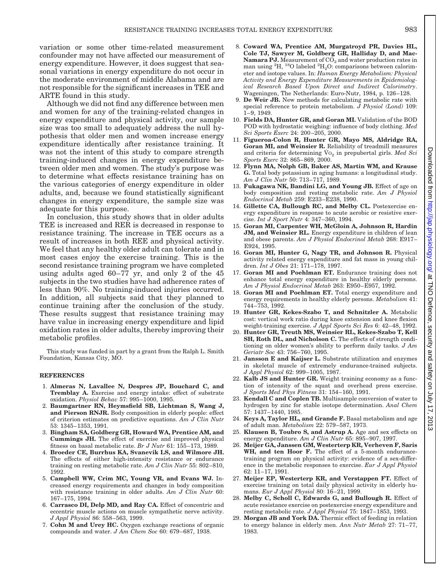variation or some other time-related measurement confounder may not have affected our measurement of energy expenditure. However, it does suggest that seasonal variations in energy expenditure do not occur in the moderate environment of middle Alabama and are not responsible for the significant increases in TEE and ARTE found in this study.

Although we did not find any difference between men and women for any of the training-related changes in energy expenditure and physical activity, our sample size was too small to adequately address the null hypothesis that older men and women increase energy expenditure identically after resistance training. It was not the intent of this study to compare strength training-induced changes in energy expenditure between older men and women. The study's purpose was to determine what effects resistance training has on the various categories of energy expenditure in older adults, and, because we found statistically significant changes in energy expenditure, the sample size was adequate for this purpose.

In conclusion, this study shows that in older adults TEE is increased and RER is decreased in response to resistance training. The increase in TEE occurs as a result of increases in both REE and physical activity. We feel that any healthy older adult can tolerate and in most cases enjoy the exercise training. This is the second resistance training program we have completed using adults aged 60–77 yr, and only 2 of the 45 subjects in the two studies have had adherence rates of less than 90%. No training-induced injuries occurred. In addition, all subjects said that they planned to continue training after the conclusion of the study. These results suggest that resistance training may have value in increasing energy expenditure and lipid oxidation rates in older adults, thereby improving their metabolic profiles.

This study was funded in part by a grant from the Ralph L. Smith Foundation, Kansas City, MO.

### **REFERENCES**

- 1. **Almeras N, Lavallee N, Despres JP, Bouchard C, and Tremblay A.** Exercise and energy intake: effect of substrate oxidation. *Physiol Behav* 57: 995–1000, 1995.
- 2. **Baumgartner RN, Heymsfield SB, Lichtman S, Wang J, and Pierson RNJR.** Body composition in elderly people: effect of criterion estimates on predictive equations. *Am J Clin Nutr* 53: 1345–1353, 1991.
- 3. **Bingham SA, Goldberg GR, Howard WA, Prentice AM, and Cummings JH.** The effect of exercise and improved physical fitness on basal metabolic rate. *Br J Nutr* 61: 155–173, 1989.
- 4. **Broeder CE, Burrhus KA, Svanevik LS, and Wilmore JH.** The effects of either high-intensity resistance or endurance training on resting metabolic rate. *Am J Clin Nutr* 55: 802–810, 1992.
- 5. **Campbell WW, Crim MC, Young VR, and Evans WJ.** Increased energy requirements and changes in body composition with resistance training in older adults. *Am J Clin Nutr* 60: 167–175, 1994.
- 6. **Carrasco DI, Delp MD, and Ray CA.** Effect of concentric and eccentric muscle actions on muscle sympathetic nerve activity. *J Appl Physiol* 86: 558–563, 1999.
- 7. **Cohn M and Urey HC.** Oxygen exchange reactions of organic compounds and water. *J Am Chem Soc* 60: 679–687, 1938.
- 8. **Coward WA, Prentice AM, Murgatroyd PR, Davies HL, Cole TJ, Sawyer M, Goldberg GR, Halliday D, and Mac-** $\bold{Namara}$   $\bold{PJ.}$  Measurement of  $\mathrm{CO}_2$  and water production rates in man using <sup>2</sup>H, <sup>18</sup>O labeled <sup>2</sup>H<sub>2</sub>O: comparisons between calorimeter and isotope values. In: *Human Energy Metabolism: Physical Activity and Energy Expenditure Measurements in Epidemiological Research Based Upon Direct and Indirect Calorimetry*. Wageningen, The Netherlands: Euro-Nutr, 1984, p. 126–128.
- 9. **De Weir JB.** New methods for calculating metabolic rate with special reference to protein metabolism. *J Physiol (Lond)* 109: 1–9, 1949.
- 10. **Fields DA, Hunter GR, and Goran MI.** Validation of the BOD POD with hydrostatic weighing: influence of body clothing. *Med Sci Sports Exerc* 24: 200–205, 2000.
- 11. **Figueroa-Colon R, Hunter GR, Mayo MS, Aldridge RA, Goran MI, and Weinsier R.** Reliability of treadmill measures and criteria for determining  $\mathrm{Vo}_2$  in prepubertal girls. *Med Sci Sports Exerc* 32: 865–869, 2000.
- 12. **Flynn MA, Nolph GB, Baker AS, Martin WM, and Krause G.** Total body potassium in aging humans: a longitudinal study. *Am J Clin Nutr* 50: 713–717, 1989.
- 13. **Fukagawa NK, Bandini LG, and Young JB.** Effect of age on body composition and resting metabolic rate. *Am J Physiol Endocrinol Metab* 259: E233–E238, 1990.
- 14. **Gillette CA, Bullough RC, and Melby CL.** Postexercise energy expenditure in response to acute aerobic or resistive exercise. *Int J Sport Nutr* 4: 347–360, 1994.
- 15. **Goran MI, Carpenter WH, McGloin A, Johnson R, Hardin JM, and Weinsier RL.** Energy expenditure in children of lean and obese parents. *Am J Physiol Endocrinol Metab* 268: E917– E924, 1995.
- 16. **Goran MI, Hunter G, Nagy TR, and Johnson R.** Physical activity related energy expenditure and fat mass in young children. *Int J Obes* 21: 171–178, 1997.
- 17. **Goran MI and Poehlman ET.** Endurance training does not enhance total energy expenditure in healthy elderly persons. *Am J Physiol Endocrinol Metab* 263: E950–E957, 1992.
- 18. **Goran MI and Poehlman ET.** Total energy expenditure and energy requirements in healthy elderly persons. *Metabolism* 41: 744–753, 1992.
- 19. **Hunter GR, Kekes-Szabo T, and Schnitzler A.** Metabolic cost: vertical work ratio during knee extension and knee flexion weight-training exercise. *J Appl Sports Sci Res* 6: 42–48, 1992.
- 20. **Hunter GR, Treuth MS, Weinsier RL, Kekes-Szabo T, Kell SH, Roth DL, and Nicholson C.** The effects of strength conditioning on older women's ability to perform daily tasks. *J Am Geriatr Soc* 43: 756–760, 1995.
- 21. **Jansson E and Kaijser L.** Substrate utilization and enzymes in skeletal muscle of extremely endurance-trained subjects. *J Appl Physiol* 62: 999–1005, 1987.
- 22. **Kalb JS and Hunter GR.** Weight training economy as a function of intensity of the squat and overhead press exercise. *J Sports Med Phys Fitness* 31: 154–160, 1991.
- 23. **Kendall C and Coplen TB.** Multisample conversion of water to hydrogen by zinc for stable isotope determination. *Anal Chem* 57: 1437–1440, 1985.
- 24. **Keys A, Taylor HL, and Grande F.** Basal metabolism and age of adult man. *Metabolism* 22: 579–587, 1973.
- 25. **Klausen B, Toubro S, and Astrup A.** Age and sex effects on energy expenditure. *Am J Clin Nutr* 65: 895–907, 1997.
- 26. **Meijer GA, Janssen GM, Westerterp KR, Verheven F, Saris WH, and ten Hoor F.** The effect of a 5-month endurancetraining program on physical activity: evidence of a sex-difference in the metabolic responses to exercise. *Eur J Appl Physiol* 62: 11–17, 1991.
- 27. **Meijer EP, Westerterp KR, and Verstappen FT.** Effect of exercise training on total daily physical activity in elderly humans. *Eur J Appl Physiol* 80: 16–21, 1999.
- 28. **Melby C, Scholl C, Edwards G, and Bullough R.** Effect of acute resistance exercise on postexercise energy expenditure and resting metabolic rate. *J Appl Physiol* 75: 1847–1853, 1993.
- 29. **Morgan JB and York DA.** Thermic effect of feeding in relation to energy balance in elderly men. *Ann Nutr Metab* 27: 71–77, 1983.